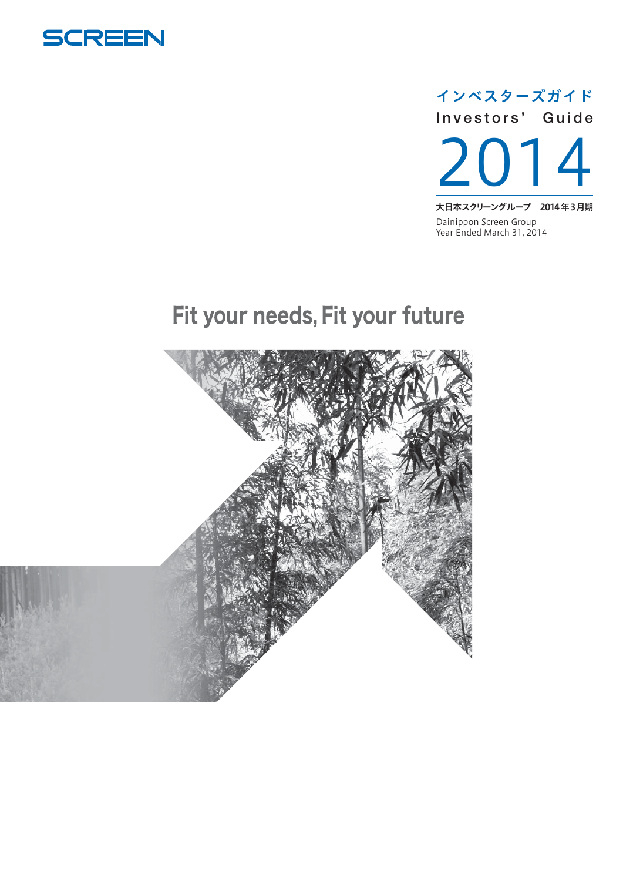

# インベスターズガイド **Investors' Guide**

2014

大日本スクリーングループ 2014年3月期 Dainippon Screen Group Year Ended March 31, 2014

# Fit your needs, Fit your future

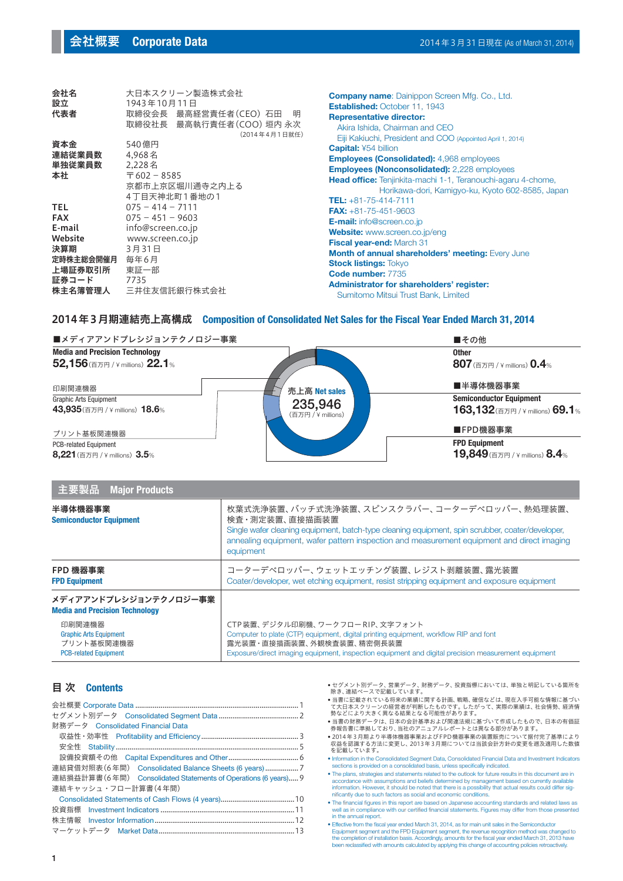| 会社名        | 大日本スクリーン製造株式会社                                                          | Cor         |
|------------|-------------------------------------------------------------------------|-------------|
| 設立         | 1943年10月11日                                                             | Est         |
| 代表者        | 取締役会長 最高経営責任者(CEO) 石田<br>明<br>取締役社長 最高執行責任者(COO) 垣内 永次<br>(2014年4月1日就任) | Rep<br>A    |
| 資本金        | 540 億円                                                                  | E           |
| 連結従業員数     | 4,968名                                                                  | Car<br>Em   |
| 単独従業員数     | 2.228名                                                                  | Em          |
| 本社         | $\overline{7}$ 602 - 8585                                               | Hea         |
|            | 京都市上京区堀川通寺之内上る                                                          |             |
|            | 4丁目天神北町1番地の1                                                            | TEL         |
| <b>TEL</b> | $075 - 414 - 7111$                                                      | <b>FAX</b>  |
| <b>FAX</b> | $075 - 451 - 9603$                                                      | E-n         |
| E-mail     | info@screen.co.jp                                                       | Wel         |
| Website    | www.screen.co.jp                                                        | <b>Fisc</b> |
| 決算期        | 3月31日                                                                   | Mor         |
| 定時株主総会開催月  | 毎年6月                                                                    | <b>Sto</b>  |
| 上場証券取引所    | 東証一部                                                                    | Coc         |
| 証券コード      | 7735                                                                    | Adr         |
| 株主名簿管理人    | 三井住友信託銀行株式会社                                                            | S           |

| <b>Company name:</b> Dainippon Screen Mfg. Co., Ltd.                |
|---------------------------------------------------------------------|
| <b>Established: October 11, 1943</b>                                |
| <b>Representative director:</b>                                     |
| Akira Ishida, Chairman and CEO                                      |
| Eiji Kakiuchi, President and COO (Appointed April 1, 2014)          |
| <b>Capital: ¥54 billion</b>                                         |
| <b>Employees (Consolidated):</b> 4,968 employees                    |
| <b>Employees (Nonconsolidated):</b> 2,228 employees                 |
| <b>Head office:</b> Tenjinkita-machi 1-1, Teranouchi-agaru 4-chome, |
| Horikawa-dori, Kamigyo-ku, Kyoto 602-8585, Japan                    |
| TEL: $+81-75-414-7111$                                              |
| FAX: $+81 - 75 - 451 - 9603$                                        |
| <b>E-mail:</b> info@screen.co.jp                                    |
| <b>Website:</b> www.screen.co.jp/eng                                |
| Fiscal year-end: March 31                                           |
| <b>Month of annual shareholders' meeting: Every June</b>            |
| <b>Stock listings: Tokyo</b>                                        |
| Code number: 7735                                                   |
| Administrator for shareholders' register:                           |
| Sumitomo Mitsui Trust Bank, Limited                                 |

#### 2014年3月期連結売上高構成 **Composition of Consolidated Net Sales for the Fiscal Year Ended March 31, 2014**



| <b>宝要製品</b><br><b>Major Products</b>                                                  |                                                                                                                                                                                                                                                                              |
|---------------------------------------------------------------------------------------|------------------------------------------------------------------------------------------------------------------------------------------------------------------------------------------------------------------------------------------------------------------------------|
| 半導体機器事業<br><b>Semiconductor Equipment</b>                                             | 枚葉式洗浄装置、バッチ式洗浄装置、スピンスクラバー、コーターデベロッパー、熱処理装置、<br>検査・測定装置、直接描画装置<br>Single wafer cleaning equipment, batch-type cleaning equipment, spin scrubber, coater/developer,<br>annealing equipment, wafer pattern inspection and measurement equipment and direct imaging<br>equipment |
| FPD 機器事業<br><b>FPD Equipment</b>                                                      | コーターデベロッパー、ウェットエッチング装置、レジスト剥離装置、露光装置<br>Coater/developer, wet etching equipment, resist stripping equipment and exposure equipment                                                                                                                                           |
| メディアアンドプレシジョンテクノロジー事業<br><b>Media and Precision Technology</b>                        |                                                                                                                                                                                                                                                                              |
| 印刷関連機器<br><b>Graphic Arts Equipment</b><br>プリント基板関連機器<br><b>PCB-related Equipment</b> | CTP装置、デジタル印刷機、ワークフローRIP、文字フォント<br>Computer to plate (CTP) equipment, digital printing equipment, workflow RIP and font<br>露光装置・直接描画装置、外観検査装置、精密側長装置<br>Exposure/direct imaging equipment, inspection equipment and digital precision measurement equipment                   |

#### 目 次 **Contents**

| 財務データ Consolidated Financial Data                              |  |
|----------------------------------------------------------------|--|
|                                                                |  |
|                                                                |  |
|                                                                |  |
| 連結貸借対照表(6年間) Consolidated Balance Sheets (6 years) 7           |  |
| 連結損益計算書(6年間) Consolidated Statements of Operations (6 years) 9 |  |
| 連結キャッシュ・フロー計算書(4年間)                                            |  |
|                                                                |  |
|                                                                |  |
|                                                                |  |
|                                                                |  |

• セグメント別データ、営業データ、財務データ、投資指標においては、単独と明記している箇所を

- 除き、連結ベースで記載しています。 当書に記載されている将来の業績に関する計画、戦略、確信などは、現在入手可能な情報に基づい て大日本スクリーンの経営者が判断したものです。したがって、実際の業績は、社会情勢、経済情 勢などにより大きく異なる結果となる可能性があります。
- 当書の財務データは、日本の会計基準および関連法規に基づいて作成したもので、日本の有価証 券報告書に準拠しており、当社のアニュアルレポートとは異なる部分があります。
- 2014年3月期より半導体機器事業およびFPD機器事業の装置販売について据付完了基準により 収益を認識する方法に変更し、2013年3月期については当該会計方針の変更を遡及適用した数値 を記載しています。
- Information in the Consolidated Segment Data, Consolidated Financial Data and Investment Indicators sections is provided on a consolidated basis, unless specifically indicated.
- The plans, strategies and statements related to the outlook for future results in this document are in accordance with assumptions and beliefs determined by management based on currently available information. However, it should be noted that there is a possibility that actual results could differ significantly due to such factors as social and economic conditions.
- The financial figures in this report are based on Japanese accounting standards and related laws as well as in compliance with our certified financial statements. Figures may differ from those presented<br>in the annual report.
- Effective from the fiscal year ended March 31, 2014, as for main unit sales in the Semiconductor Equipment segment and the FPD Equipment segment, the revenue recognition method was changed to<br>the completion of installation basis. Accordingly, amounts for the fiscal year ended March 31, 2013 have<br>been reclassified with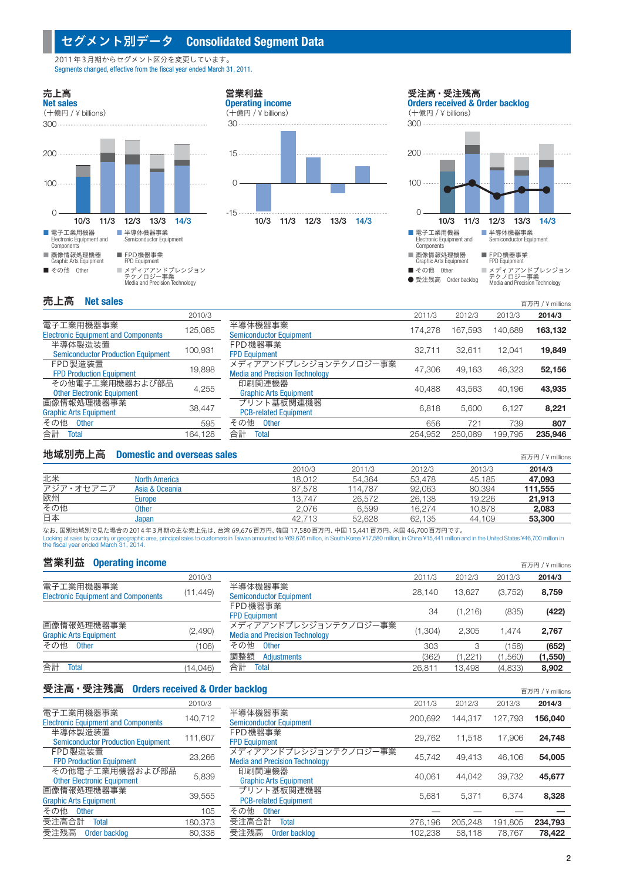## セグメント別データ **Consolidated Segment Data**

営業利益

2011年3月期からセグメント区分を変更しています。 Segments changed, effective from the fiscal year ended March 31, 2011.

#### 売上高 **Net sales** (十億円 / ¥ billions) **10/3 11/3 12/3 13/3 14/3**  $\bigcap$ 300 200 100 ■ 電子工業用機器 Electronic Equipment and Components ■ 画像情報処理機器 Graphic Arts Equipment ■ その他 Other ■ 半導体機器事業 Semiconductor Equipment ■ FPD機器事業 FPD Equipment ■ メディアアンドプレシジョン<br>- テクノロジー事業<br>Media and Precision Technology



受注高・受注残高 **Orders received & Order backlog**





#### 売上高 **Net sales** 百万円 / ¥ millions

|                                            | 201 U U |                                       |
|--------------------------------------------|---------|---------------------------------------|
| 電子工業用機器事業                                  | 125,085 | 半導体機器事業                               |
| <b>Electronic Equipment and Components</b> |         | <b>Semiconductor Equipment</b>        |
| 半導体製造装置                                    | 100,931 | FPD機器事業                               |
| <b>Semiconductor Production Equipment</b>  |         | <b>FPD Equipment</b>                  |
| FPD 製造装置                                   |         | メディアアンドプレシジョンテクノロジー事業                 |
| <b>FPD Production Equipment</b>            | 19,898  | <b>Media and Precision Technology</b> |
| その他電子工業用機器および部品                            |         | 印刷関連機器                                |
| <b>Other Electronic Equipment</b>          | 4,255   | <b>Graphic Arts Equipment</b>         |
| 画像情報処理機器事業                                 |         | プリント基板関連機器                            |
| <b>Graphic Arts Equipment</b>              | 38,447  | <b>PCB-related Equipment</b>          |
| その他<br><b>Other</b>                        | 595     | その他<br><b>Other</b>                   |
| 合計<br><b>Total</b>                         | 164,128 | 合計<br><b>Total</b>                    |
|                                            |         |                                       |

|                                            | 2010/3  |                                       | 2011/3  | 2012/3  | 2013/3  | 2014/3  |
|--------------------------------------------|---------|---------------------------------------|---------|---------|---------|---------|
| 電子工業用機器事業                                  | 125,085 | 半導体機器事業                               | 174.278 | 167.593 | 140.689 | 163,132 |
| <b>Electronic Equipment and Components</b> |         | <b>Semiconductor Equipment</b>        |         |         |         |         |
| 半導体製造装置                                    | 100,931 | FPD機器事業                               | 32.711  | 32,611  | 12.041  | 19,849  |
| <b>Semiconductor Production Equipment</b>  |         | <b>FPD Equipment</b>                  |         |         |         |         |
| FPD 製造装置                                   | 19,898  | メディアアンドプレシジョンテクノロジー事業                 | 47.306  | 49.163  | 46.323  | 52.156  |
| <b>FPD Production Equipment</b>            |         | <b>Media and Precision Technology</b> |         |         |         |         |
| その他電子工業用機器および部品                            |         | 印刷関連機器                                |         |         |         |         |
| <b>Other Electronic Equipment</b>          | 4,255   | <b>Graphic Arts Equipment</b>         | 40.488  | 43.563  | 40.196  | 43,935  |
| 画像情報処理機器事業                                 |         | プリント基板関連機器                            |         |         |         |         |
| <b>Graphic Arts Equipment</b>              | 38,447  | <b>PCB-related Equipment</b>          | 6.818   | 5.600   | 6.127   | 8.221   |
| その他<br><b>Other</b>                        | 595     | その他<br><b>Other</b>                   | 656     | 721     | 739     | 807     |
| 台計<br><b>Total</b>                         | 164.128 | 合計<br><b>Total</b>                    | 254.952 | 250.089 | 199.795 | 235,946 |

#### **地域別売上高 Domestic and overseas sales Example 20 and the same of the same of the same of the same of the same of the same of the same of the same of the same of the same of the same of the same of the same of the same of**

|           |                      | 2010/3 | 2011/3  | 2012/3 | 2013/3 | 2014/3  |
|-----------|----------------------|--------|---------|--------|--------|---------|
| 北米        | <b>North America</b> | 18.012 | 54.364  | 53.478 | 45.185 | 47,093  |
| アジア・オヤアニア | Asia & Oceania       | 87.578 | 114.787 | 92.063 | 80.394 | 111,555 |
| 欧州        | Europe               | 13.747 | 26.572  | 26.138 | 19.226 | 21.913  |
| その他       | Other                | 2.076  | 6.599   | 16.274 | 10.878 | 2.083   |
| 日本        | Japan                | 42.713 | 52.628  | 62.135 | 44.109 | 53,300  |
|           |                      |        |         |        |        |         |

なお、国別地域別で見た場合の2014年3月期の主な売上先は、台湾 69,676百万円、韓国 17,580百万円、中国 15,441百万円、米国 46,700百万円です。 Looking at sales by country or geographic area, principal sales to customers in Taiwan amounted to ¥69,676 million, in South Korea ¥17,580 million, in China ¥15,441 million and in the United States ¥46,700 million in<br>the f

#### **営業利益 Operating income** スピック・コンピック こうしょう こうしょう こうしょう こうしょう しゅうしょう しゅうしょう しゅうしょう

|                                                         | 2010/3    |                                                                | 2011/3  | 2012/3  | 2013/3  | 2014/3  |
|---------------------------------------------------------|-----------|----------------------------------------------------------------|---------|---------|---------|---------|
| 電子工業用機器事業<br><b>Electronic Equipment and Components</b> | (11, 449) | 半導体機器事業<br><b>Semiconductor Equipment</b>                      | 28.140  | 13.627  | (3,752) | 8,759   |
|                                                         |           | FPD機器事業<br><b>FPD Equipment</b>                                | 34      | (1,216) | (835)   | (422)   |
| 画像情報処理機器事業<br><b>Graphic Arts Equipment</b>             | (2,490)   | メディアアンドプレシジョンテクノロジー事業<br><b>Media and Precision Technology</b> | (1,304) | 2.305   | 1.474   | 2.767   |
| その他<br><b>Other</b>                                     | (106)     | その他<br><b>Other</b>                                            | 303     | 3       | (158)   | (652)   |
|                                                         |           | 調整額<br>Adiustments                                             | (362)   | (1,221) | (1,560) | (1,550) |
| 合計<br><b>Total</b>                                      | (14,046)  | 合計<br><b>Total</b>                                             | 26.811  | 13,498  | (4,833) | 8,902   |
|                                                         |           |                                                                |         |         |         |         |

#### 受注高 · 受注残高 Orders received & Order backlog **Example 2018 - The Conduct of The Conduct of The Conduct of The Conduct of The The Theorem and The Theorem and The Theorem and The Theorem and The Theorem and The Theorem and T**

|                                                         | 2010/3  |                                                                | 2011/3  | 2012/3  | 2013/3  | 2014/3  |
|---------------------------------------------------------|---------|----------------------------------------------------------------|---------|---------|---------|---------|
| 電子工業用機器事業<br><b>Electronic Equipment and Components</b> | 140,712 | 半導体機器事業<br><b>Semiconductor Equipment</b>                      | 200.692 | 144.317 | 127.793 | 156.040 |
| 半導体製造装置<br><b>Semiconductor Production Equipment</b>    | 111,607 | FPD機器事業<br><b>FPD Equipment</b>                                | 29.762  | 11.518  | 17.906  | 24,748  |
| FPD製造装置<br><b>FPD Production Equipment</b>              | 23,266  | メディアアンドプレシジョンテクノロジー事業<br><b>Media and Precision Technology</b> | 45.742  | 49.413  | 46.106  | 54,005  |
| その他電子工業用機器および部品<br><b>Other Electronic Equipment</b>    | 5,839   | 印刷関連機器<br><b>Graphic Arts Equipment</b>                        | 40.061  | 44.042  | 39.732  | 45.677  |
| 画像情報処理機器事業<br><b>Graphic Arts Equipment</b>             | 39,555  | プリント基板関連機器<br><b>PCB-related Equipment</b>                     | 5.681   | 5.371   | 6.374   | 8,328   |
| その他<br><b>Other</b>                                     | 105     | その他<br><b>Other</b>                                            |         |         |         |         |
| 受注高合計<br><b>Total</b>                                   | 180.373 | 受注高合計<br><b>Total</b>                                          | 276.196 | 205.248 | 191.805 | 234,793 |
| 受注残高<br>Order backlog                                   | 80.338  | 受注残高<br>Order backlog                                          | 102.238 | 58.118  | 78.767  | 78.422  |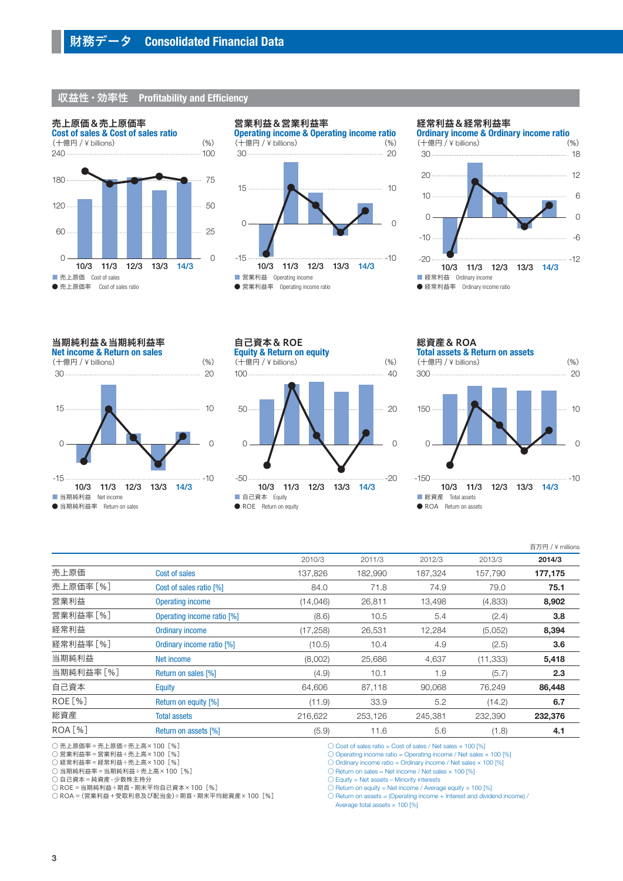#### **収益性·効率性 Profitability and Efficiency**



#### 営業利益&営業利益率

**Operating income & Operating income ratio**<br>(+億円 / ¥ billions) (%)  $(+@f$  / ¥ billions) **10/3 11/3 12/3 13/3 14/3**  $\Omega$ 20 10 -10 ■営業利益 Operating income ● 営業利益率 Operating income ratio



当期純利益&当期純利益率 **Net income & Return on sales** (十億円 / ¥ billions) (%) ■ 当期純利益 Net income ● 当期純利益率 Return on sales **10/3 11/3 12/3 13/3 14/3**  $\Omega$ 30 -15  $\Omega$  $\cdots$  20 15 **10 10 10 10 10 10 10 10 10 10 10 10** -10



総資産&ROA **Total assets & Return on assets** (十億円 / ¥ billions) (%) **10/3 11/3 12/3 13/3 14/3** 0 300 150 -150 0  $-20$ 10  $-10$ ■総資産 Total assets ● ROA Return on assets

百万円 / ¥ millions

|                |                            | 2010/3    | 2011/3  | 2012/3  | 2013/3    | 2014/3  |
|----------------|----------------------------|-----------|---------|---------|-----------|---------|
| 売上原価           | Cost of sales              | 137,826   | 182,990 | 187,324 | 157,790   | 177,175 |
| 売上原価率 [%]      | Cost of sales ratio [%]    | 84.0      | 71.8    | 74.9    | 79.0      | 75.1    |
| 営業利益           | Operating income           | (14,046)  | 26,811  | 13,498  | (4,833)   | 8,902   |
| 営業利益率 [%]      | Operating income ratio [%] | (8.6)     | 10.5    | 5.4     | (2.4)     | 3.8     |
| 経常利益           | Ordinary income            | (17, 258) | 26,531  | 12,284  | (5,052)   | 8,394   |
| 経常利益率 [%]      | Ordinary income ratio [%]  | (10.5)    | 10.4    | 4.9     | (2.5)     | 3.6     |
| 当期純利益          | Net income                 | (8,002)   | 25,686  | 4,637   | (11, 333) | 5,418   |
| 当期純利益率[%]      | Return on sales [%]        | (4.9)     | 10.1    | 1.9     | (5.7)     | 2.3     |
| 自己資本           | Equity                     | 64,606    | 87,118  | 90,068  | 76,249    | 86,448  |
| <b>ROE</b> [%] | Return on equity [%]       | (11.9)    | 33.9    | 5.2     | (14.2)    | 6.7     |
| 総資産            | <b>Total assets</b>        | 216,622   | 253,126 | 245,381 | 232,390   | 232,376 |
| ROA[%]         | Return on assets [%]       | (5.9)     | 11.6    | 5.6     | (1.8)     | 4.1     |
|                |                            |           |         |         |           |         |

○ 売上原価率=売上原価÷売上高× 100[%]

○ 営業利益率=営業利益÷売上高× 100[%] ○ 経常利益率=経常利益÷売上高× 100[%]

○ 当期純利益率=当期純利益÷売上高× 100[%]

○ 自己資本=純資産 - 少数株主持分<br>○ ROE =当期純利益÷期首 • 期末平均自己資本× 100[%]

○ ROA = (営業利益 + 受取利息及び配当金)÷期首 • 期末平均総資産× 100[%]

 $\bigcirc$  Cost of sales ratio = Cost of sales / Net sales  $\times$  100 [%]

○ Operating income ratio = Operating income / Net sales × 100 [%]

○ Ordinary income ratio = Ordinary income / Net sales × 100 [%]

 $\bigcirc$  Return on sales = Net income / Net sales  $\times$  100 [%]

○ Equity = Net assets – Minority interests ○ Return on equity = Net income / Average equity × 100 [%]

○ Return on assets = (Operating income + Interest and dividend income) /

Average total assets  $\times$  100 [%]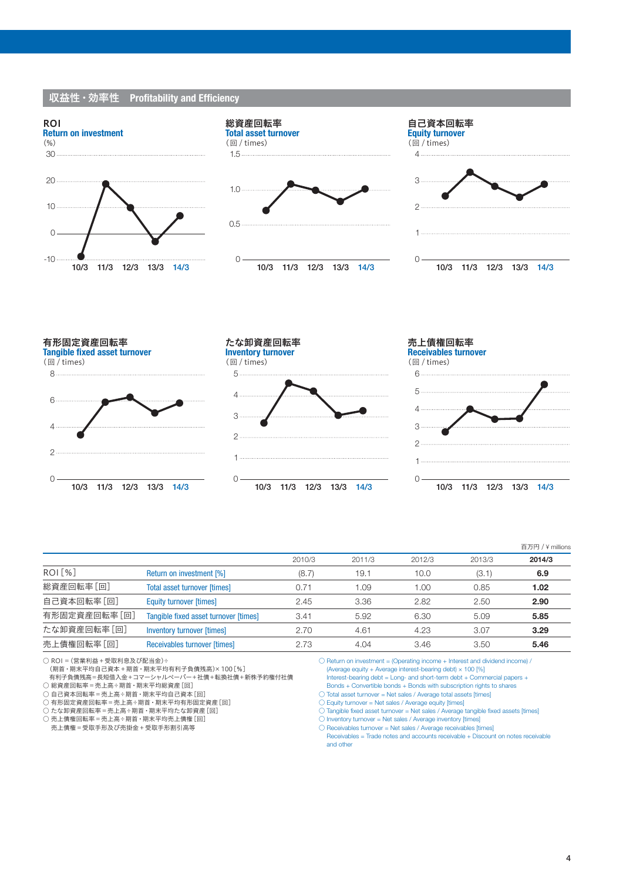









#### 百万円 / ¥ millions

**4**

|                |                                       | 2010/3 | 2011/3 | 2012/3 | 2013/3 | 2014/3 |
|----------------|---------------------------------------|--------|--------|--------|--------|--------|
| <b>ROI</b> [%] | Return on investment [%]              | (8.7)  | 19.1   | 10.0   | (3.1)  | 6.9    |
| 総資産回転率 [回]     | <b>Total asset turnover [times]</b>   | 0.71   | 0.09   | 1.00   | 0.85   | 1.02   |
| 自己資本回転率 [回]    | <b>Equity turnover [times]</b>        | 2.45   | 3.36   | 2.82   | 2.50   | 2.90   |
| 有形固定資産回転率 [回]  | Tangible fixed asset turnover [times] | 3.41   | 5.92   | 6.30   | 5.09   | 5.85   |
| たな卸資産回転率「回]    | <b>Inventory turnover [times]</b>     | 2.70   | 4.61   | 4.23   | 3.07   | 3.29   |
| 売上債権回転率 [回]    | Receivables turnover [times]          | 2.73   | 4.04   | 3.46   | 3.50   | 5.46   |

○ ROI=(営業利益+受取利息及び配当金)÷

(期首・期末平均自己資本+期首・期末平均有利子負債残高)× 100[%]

- 有利子負債残高=長短借入金+コマーシャルペーパー+社債+転換社債+新株予約権付社債<br>○ 総資産回転率=売上高÷期首・期末平均総資産 [回]<br>○ 自己資本回転率=売上高÷期首・期末平均自己資本 [回]

- 有形固定資産回転率=売上高÷期首・期末平均有形固定資産[回]
- たな卸資産回転率=売上高÷期首 ・期末平均たな卸資産[回]

○ 売上債権回転率=売上高÷期首・期末平均売上債権[回]

売上債権=受取手形及び売掛金+受取手形割引高等

○ Tangible fixed asset turnover = Net sales / Average tangible fixed assets [times]

○ Return on investment = (Operating income + Interest and dividend income) / (Average equity + Average interest-bearing debt) × 100 [%]

Interest-bearing debt = Long- and short-term debt + Commercial papers + Bonds + Convertible bonds + Bonds with subscription rights to shares

O Total asset turnover = Net sales / Average total assets [times] ○ Equity turnover = Net sales / Average equity [times]

○ Inventory turnover = Net sales / Average inventory [times]

<sup>○</sup> Receivables turnover = Net sales / Average receivables [times] Receivables = Trade notes and accounts receivable + Discount on notes receivable and other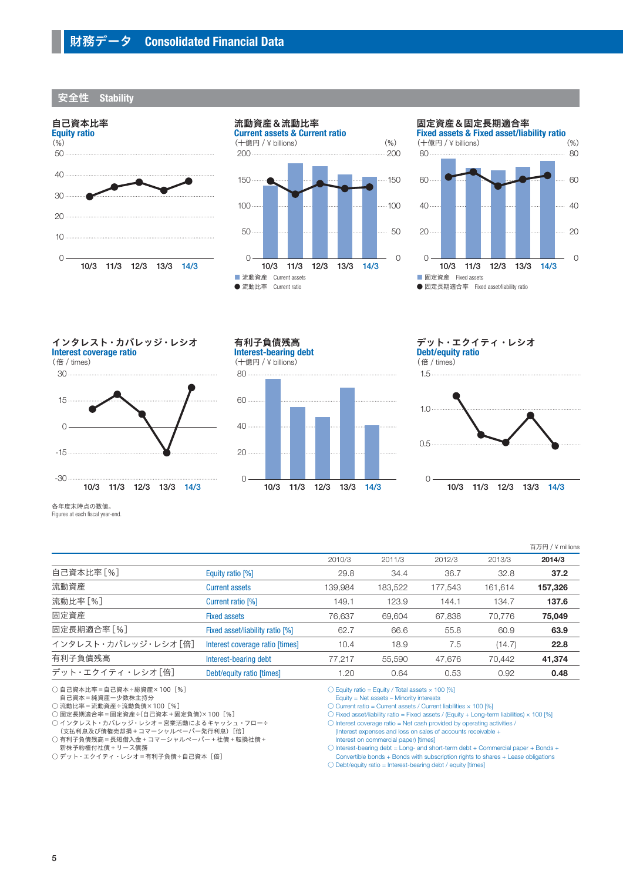安全性 **Stability**





#### 固定資産&固定長期適合率

**Fixed assets & Fixed asset/liability ratio**



インタレスト・カバレッジ・レシオ **Interest coverage ratio** (倍 / times)







デット・エクイティ・レシオ **Debt/equity ratio** (倍 / times)

 $1.5 -$ 



#### 各年度末時点の数値。

Figures at each fiscal year-end.

|                      |                                 |         |         |         |         | 百万円 / ¥ millions |
|----------------------|---------------------------------|---------|---------|---------|---------|------------------|
|                      |                                 | 2010/3  | 2011/3  | 2012/3  | 2013/3  | 2014/3           |
| 自己資本比率[%]            | Equity ratio [%]                | 29.8    | 34.4    | 36.7    | 32.8    | 37.2             |
| 流動資産                 | <b>Current assets</b>           | 139,984 | 183,522 | 177,543 | 161,614 | 157,326          |
| 流動比率 [%]             | Current ratio [%]               | 149.1   | 123.9   | 144.1   | 134.7   | 137.6            |
| 固定資産                 | <b>Fixed assets</b>             | 76,637  | 69,604  | 67,838  | 70,776  | 75,049           |
| 固定長期適合率 [%]          | Fixed asset/liability ratio [%] | 62.7    | 66.6    | 55.8    | 60.9    | 63.9             |
| インタレスト・カバレッジ・レシオ [倍] | Interest coverage ratio [times] | 10.4    | 18.9    | 7.5     | (14.7)  | 22.8             |
| 有利子負債残高              | Interest-bearing debt           | 77,217  | 55,590  | 47,676  | 70,442  | 41,374           |
| デット・エクイティ・レシオ [倍]    | Debt/equity ratio [times]       | 1.20    | 0.64    | 0.53    | 0.92    | 0.48             |

○ 自己資本比率=自己資本÷総資産× 100[%]

— 自己資本=純資産一少数株主持分<br>○ 流動比率=流動資産÷流動負債× 100[%]

○ 固定長期適合率=固定資産÷(自己資本+固定負債)× 100[%]

○ ローニングロート ローラー (ローラー・ローランス) 100 (1.)<br>○ インタレスト・カバレッジ・レシオ=営業活動によるキャッシュ・フロー÷

(支払利息及び債権売却損+コマーシャルペーパー発行利息)[倍]

○ 有利子負債残高=長短借入金+コマーシャルペーパー+社債+転換社債+

— 新株予約権付社債+リース債務<br>○ デット・エクイティ・レシオ=有利子負債÷自己資本[倍]

 $\bigcirc$  Equity ratio = Equity / Total assets  $\times$  100 [%]

Equity = Net assets – Minority interests

○ Current ratio = Current assets / Current liabilities × 100 [%]

O Burent Ratio = Burront assets / Sanch Ratio - Fixed assets / (Equity + Long-term liabilities) × 100 [%]

○ Interest coverage ratio = Net cash provided by operating activities / (Interest expenses and loss on sales of accounts receivable +

Interest on commercial paper) [times]

○ Interest-bearing debt = Long- and short-term debt + Commercial paper + Bonds +

Convertible bonds + Bonds with subscription rights to shares + Lease obligations

O Debt/equity ratio = Interest-bearing debt / equity [times]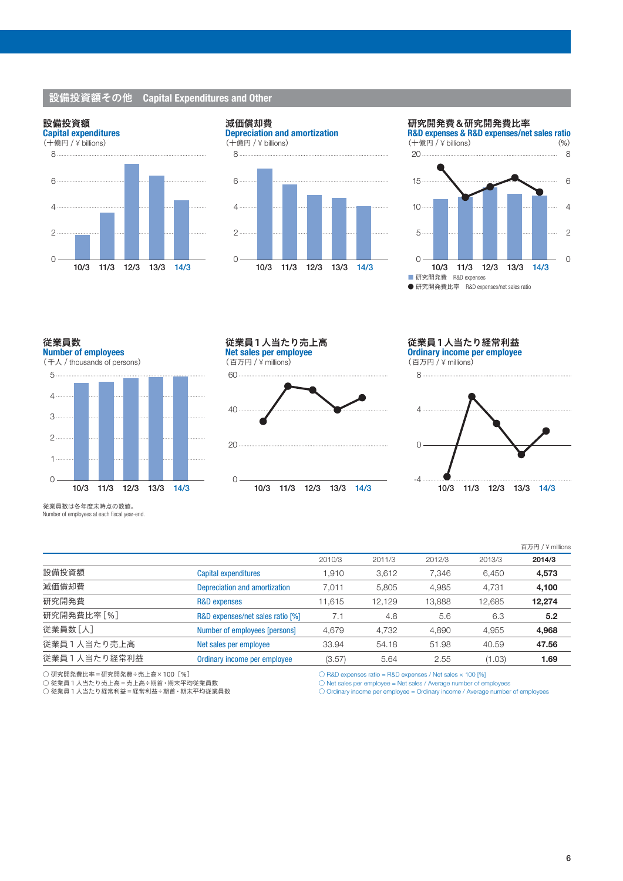#### 設備投資額その他 **Capital Expenditures and Other**



## 減価償却費 **Depreciation and amortization**



#### 研究開発費&研究開発費比率



従業員数 **Number of employees** (千人 / thousands of persons) **10/3 11/3 12/3 13/3 14/3**  $\Omega$ 5 4 1 2 3

従業員1人当たり売上高 **Net sales per employee** (百万円 / ¥ millions)







**10/3 11/3 12/3 13/3 14/3**  $\Omega$ 8  $\Delta$ -4

| 従業員数は各年度末時点の数値。 |  |  |                                              |
|-----------------|--|--|----------------------------------------------|
|                 |  |  | Number of employees at each fiscal year-end. |

|              |                                  |        |        |        |        | 百万円 / ¥ millions |
|--------------|----------------------------------|--------|--------|--------|--------|------------------|
|              |                                  | 2010/3 | 2011/3 | 2012/3 | 2013/3 | 2014/3           |
| 設備投資額        | <b>Capital expenditures</b>      | 1.910  | 3.612  | 7.346  | 6,450  | 4,573            |
| 減価償却費        | Depreciation and amortization    | 7.011  | 5.805  | 4.985  | 4,731  | 4,100            |
| 研究開発費        | <b>R&amp;D</b> expenses          | 11.615 | 12.129 | 13,888 | 12,685 | 12,274           |
| 研究開発費比率 [%]  | R&D expenses/net sales ratio [%] | 7.1    | 4.8    | 5.6    | 6.3    | 5.2              |
| 従業員数[人]      | Number of employees [persons]    | 4.679  | 4.732  | 4.890  | 4,955  | 4,968            |
| 従業員1人当たり売上高  | Net sales per employee           | 33.94  | 54.18  | 51.98  | 40.59  | 47.56            |
| 従業員1人当たり経常利益 | Ordinary income per employee     | (3.57) | 5.64   | 2.55   | (1.03) | 1.69             |

○ 研究開発費比率=研究開発費÷売上高× 100[%]

○ 従業員1人当たり売上高=売上高÷期首・期末平均従業員数 ○ 従業員1人当たり経常利益=経常利益÷期首・期末平均従業員数

○ R&D expenses ratio = R&D expenses / Net sales × 100 [%] ○ Net sales per employee = Net sales / Average number of employees ○ Ordinary income per employee = Ordinary income / Average number of employees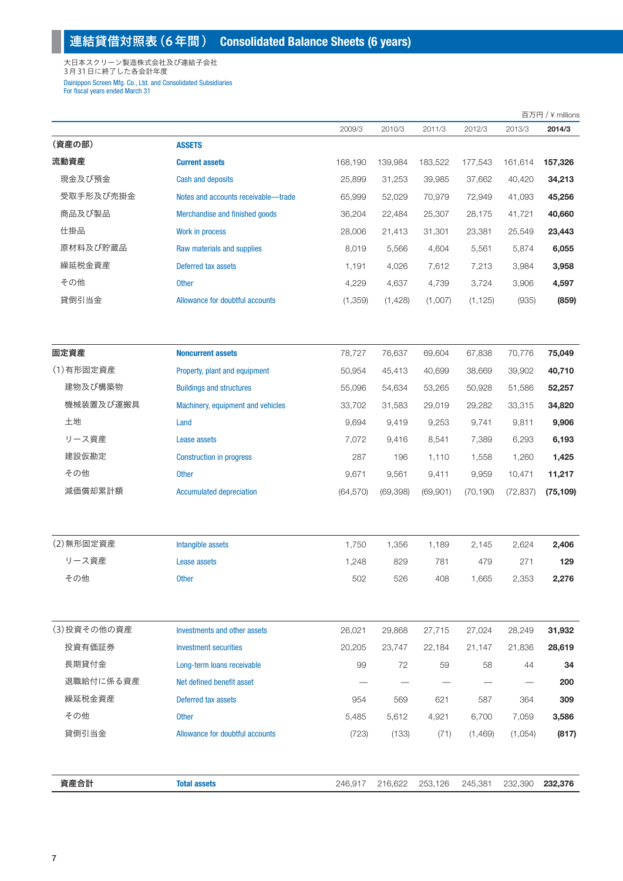## 連結貸借対照表(6年間) **Consolidated Balance Sheets (6 years)**

大日本スクリーン製造株式会社及び連結子会社 3月31日に終了した各会計年度 Dainippon Screen Mfg. Co., Ltd. and Consolidated Subsidiaries For fiscal years ended March 31

| Deferred tax assets               | 954                                                                                                                                                                                                                                                                                                                                                                                                                                                          | 569                                                                                                                     | 621                                                                                                                | 587                                                                                            | 364                                                                                    | 200<br>309                                                                                                                           |
|-----------------------------------|--------------------------------------------------------------------------------------------------------------------------------------------------------------------------------------------------------------------------------------------------------------------------------------------------------------------------------------------------------------------------------------------------------------------------------------------------------------|-------------------------------------------------------------------------------------------------------------------------|--------------------------------------------------------------------------------------------------------------------|------------------------------------------------------------------------------------------------|----------------------------------------------------------------------------------------|--------------------------------------------------------------------------------------------------------------------------------------|
|                                   | 99                                                                                                                                                                                                                                                                                                                                                                                                                                                           | 72                                                                                                                      | 59                                                                                                                 | 58                                                                                             | 44                                                                                     | 34                                                                                                                                   |
| <b>Investment securities</b>      | 20,205                                                                                                                                                                                                                                                                                                                                                                                                                                                       | 23,747                                                                                                                  | 22,184                                                                                                             | 21,147                                                                                         | 21,836                                                                                 | 28,619                                                                                                                               |
| Investments and other assets      | 26,021                                                                                                                                                                                                                                                                                                                                                                                                                                                       | 29,868                                                                                                                  | 27,715                                                                                                             | 27,024                                                                                         | 28,249                                                                                 | 31,932                                                                                                                               |
|                                   |                                                                                                                                                                                                                                                                                                                                                                                                                                                              |                                                                                                                         |                                                                                                                    |                                                                                                |                                                                                        |                                                                                                                                      |
| <b>Other</b>                      | 502                                                                                                                                                                                                                                                                                                                                                                                                                                                          | 526                                                                                                                     | 408                                                                                                                | 1,665                                                                                          | 2,353                                                                                  | 2,276                                                                                                                                |
|                                   |                                                                                                                                                                                                                                                                                                                                                                                                                                                              | 829                                                                                                                     | 781                                                                                                                | 479                                                                                            | 271                                                                                    | 129                                                                                                                                  |
|                                   | 1,750                                                                                                                                                                                                                                                                                                                                                                                                                                                        |                                                                                                                         | 1,189                                                                                                              | 2,145                                                                                          | 2,624                                                                                  | 2,406                                                                                                                                |
|                                   | (64, 570)                                                                                                                                                                                                                                                                                                                                                                                                                                                    | (69, 398)                                                                                                               | (69, 901)                                                                                                          | (70, 190)                                                                                      | (72, 837)                                                                              | (75, 109)                                                                                                                            |
| <b>Other</b>                      |                                                                                                                                                                                                                                                                                                                                                                                                                                                              | 9,561                                                                                                                   | 9,411                                                                                                              | 9,959                                                                                          |                                                                                        | 11,217                                                                                                                               |
|                                   |                                                                                                                                                                                                                                                                                                                                                                                                                                                              | 196                                                                                                                     | 1,110                                                                                                              | 1,558                                                                                          | 1,260                                                                                  | 1,425                                                                                                                                |
|                                   |                                                                                                                                                                                                                                                                                                                                                                                                                                                              | 9,416                                                                                                                   |                                                                                                                    | 7,389                                                                                          |                                                                                        | 6,193                                                                                                                                |
| Land                              | 9,694                                                                                                                                                                                                                                                                                                                                                                                                                                                        | 9,419                                                                                                                   | 9,253                                                                                                              | 9,741                                                                                          | 9,811                                                                                  | 9,906                                                                                                                                |
| Machinery, equipment and vehicles | 33,702                                                                                                                                                                                                                                                                                                                                                                                                                                                       | 31,583                                                                                                                  | 29,019                                                                                                             | 29,282                                                                                         | 33,315                                                                                 | 34,820                                                                                                                               |
| <b>Buildings and structures</b>   | 55,096                                                                                                                                                                                                                                                                                                                                                                                                                                                       | 54,634                                                                                                                  | 53,265                                                                                                             | 50,928                                                                                         | 51,586                                                                                 | 52,257                                                                                                                               |
| Property, plant and equipment     | 50,954                                                                                                                                                                                                                                                                                                                                                                                                                                                       | 45,413                                                                                                                  | 40,699                                                                                                             | 38,669                                                                                         | 39,902                                                                                 | 40,710                                                                                                                               |
| <b>Noncurrent assets</b>          | 78,727                                                                                                                                                                                                                                                                                                                                                                                                                                                       | 76,637                                                                                                                  | 69,604                                                                                                             | 67,838                                                                                         | 70,776                                                                                 | 75,049                                                                                                                               |
|                                   |                                                                                                                                                                                                                                                                                                                                                                                                                                                              |                                                                                                                         |                                                                                                                    |                                                                                                |                                                                                        | (859)                                                                                                                                |
|                                   |                                                                                                                                                                                                                                                                                                                                                                                                                                                              |                                                                                                                         |                                                                                                                    |                                                                                                |                                                                                        | 4,597                                                                                                                                |
|                                   |                                                                                                                                                                                                                                                                                                                                                                                                                                                              |                                                                                                                         |                                                                                                                    |                                                                                                |                                                                                        | 3,958                                                                                                                                |
|                                   |                                                                                                                                                                                                                                                                                                                                                                                                                                                              |                                                                                                                         |                                                                                                                    |                                                                                                |                                                                                        | 6,055                                                                                                                                |
|                                   |                                                                                                                                                                                                                                                                                                                                                                                                                                                              |                                                                                                                         |                                                                                                                    |                                                                                                |                                                                                        | 23,443                                                                                                                               |
|                                   |                                                                                                                                                                                                                                                                                                                                                                                                                                                              |                                                                                                                         |                                                                                                                    |                                                                                                |                                                                                        | 40,660                                                                                                                               |
|                                   |                                                                                                                                                                                                                                                                                                                                                                                                                                                              |                                                                                                                         |                                                                                                                    |                                                                                                |                                                                                        |                                                                                                                                      |
|                                   |                                                                                                                                                                                                                                                                                                                                                                                                                                                              |                                                                                                                         |                                                                                                                    |                                                                                                |                                                                                        | 34,213<br>45,256                                                                                                                     |
|                                   |                                                                                                                                                                                                                                                                                                                                                                                                                                                              |                                                                                                                         |                                                                                                                    |                                                                                                |                                                                                        | 157,326                                                                                                                              |
|                                   |                                                                                                                                                                                                                                                                                                                                                                                                                                                              |                                                                                                                         |                                                                                                                    |                                                                                                |                                                                                        |                                                                                                                                      |
|                                   | <b>ASSETS</b><br><b>Current assets</b><br><b>Cash and deposits</b><br>Notes and accounts receivable-trade<br>Merchandise and finished goods<br>Work in process<br>Raw materials and supplies<br>Deferred tax assets<br><b>Other</b><br>Allowance for doubtful accounts<br>Lease assets<br><b>Construction in progress</b><br><b>Accumulated depreciation</b><br>Intangible assets<br>Lease assets<br>Long-term loans receivable<br>Net defined benefit asset | 168,190<br>25,899<br>65,999<br>36,204<br>28,006<br>8,019<br>1,191<br>4,229<br>(1,359)<br>7,072<br>287<br>9,671<br>1,248 | 2009/3<br>2010/3<br>139,984<br>31,253<br>52,029<br>22,484<br>21,413<br>5,566<br>4,026<br>4,637<br>(1,428)<br>1,356 | 183,522<br>39,985<br>70,979<br>25,307<br>31,301<br>4,604<br>7,612<br>4,739<br>(1,007)<br>8,541 | 177,543<br>37,662<br>72,949<br>28,175<br>23,381<br>5,561<br>7,213<br>3,724<br>(1, 125) | 2011/3<br>2012/3<br>2013/3<br>161,614<br>40,420<br>41,093<br>41,721<br>25,549<br>5,874<br>3,984<br>3,906<br>(935)<br>6,293<br>10,471 |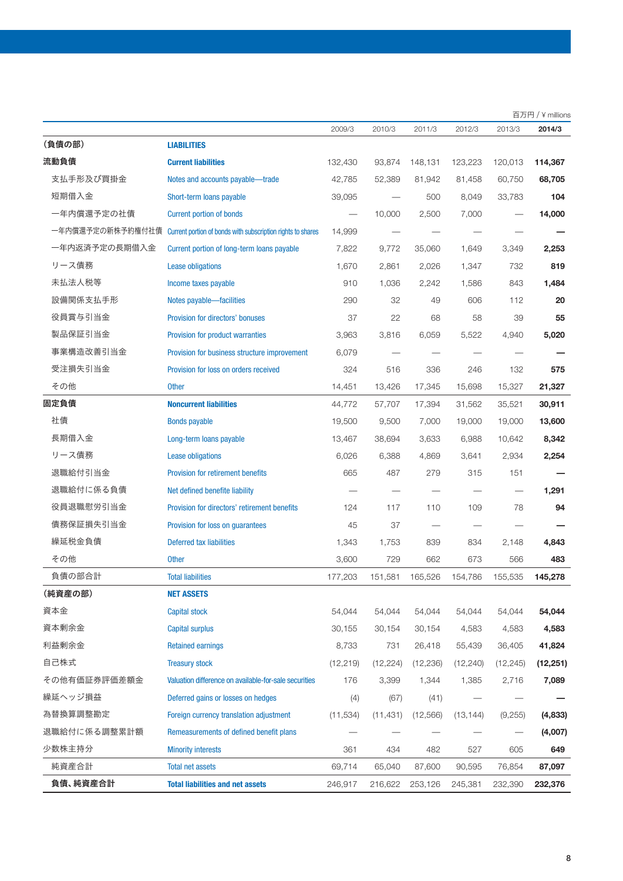|               |                                                                              |           |           |           |           |                          | 百万円 / ¥ millions |
|---------------|------------------------------------------------------------------------------|-----------|-----------|-----------|-----------|--------------------------|------------------|
|               |                                                                              | 2009/3    | 2010/3    | 2011/3    | 2012/3    | 2013/3                   | 2014/3           |
| (負債の部)        | <b>LIABILITIES</b>                                                           |           |           |           |           |                          |                  |
| 流動負債          | <b>Current liabilities</b>                                                   | 132,430   | 93,874    | 148,131   | 123,223   | 120,013                  | 114,367          |
| 支払手形及び買掛金     | Notes and accounts payable-trade                                             | 42,785    | 52,389    | 81,942    | 81,458    | 60,750                   | 68,705           |
| 短期借入金         | Short-term loans payable                                                     | 39,095    |           | 500       | 8,049     | 33,783                   | 104              |
| 一年内償還予定の社債    | <b>Current portion of bonds</b>                                              |           | 10,000    | 2,500     | 7,000     |                          | 14,000           |
|               | 一年内償還予定の新株予約権付社債 Current portion of bonds with subscription rights to shares | 14,999    |           |           |           |                          |                  |
| 一年内返済予定の長期借入金 | Current portion of long-term loans payable                                   | 7,822     | 9,772     | 35,060    | 1,649     | 3,349                    | 2,253            |
| リース債務         | <b>Lease obligations</b>                                                     | 1,670     | 2,861     | 2,026     | 1,347     | 732                      | 819              |
| 未払法人税等        | Income taxes payable                                                         | 910       | 1,036     | 2,242     | 1,586     | 843                      | 1,484            |
| 設備関係支払手形      | Notes payable-facilities                                                     | 290       | 32        | 49        | 606       | 112                      | 20               |
| 役員賞与引当金       | Provision for directors' bonuses                                             | 37        | 22        | 68        | 58        | 39                       | 55               |
| 製品保証引当金       | Provision for product warranties                                             | 3,963     | 3,816     | 6,059     | 5,522     | 4,940                    | 5,020            |
| 事業構造改善引当金     | Provision for business structure improvement                                 | 6,079     |           |           |           |                          |                  |
| 受注損失引当金       | Provision for loss on orders received                                        | 324       | 516       | 336       | 246       | 132                      | 575              |
| その他           | <b>Other</b>                                                                 | 14,451    | 13,426    | 17,345    | 15,698    | 15,327                   | 21,327           |
| 固定負債          | <b>Noncurrent liabilities</b>                                                | 44.772    | 57,707    | 17,394    | 31,562    | 35,521                   | 30,911           |
| 社債            | <b>Bonds payable</b>                                                         | 19,500    | 9,500     | 7,000     | 19,000    | 19,000                   | 13,600           |
| 長期借入金         | Long-term loans payable                                                      | 13,467    | 38,694    | 3,633     | 6,988     | 10,642                   | 8,342            |
| リース債務         | <b>Lease obligations</b>                                                     | 6,026     | 6,388     | 4,869     | 3,641     | 2,934                    | 2,254            |
| 退職給付引当金       | Provision for retirement benefits                                            | 665       | 487       | 279       | 315       | 151                      |                  |
| 退職給付に係る負債     | Net defined benefite liability                                               |           |           |           |           | $\overline{\phantom{m}}$ | 1,291            |
| 役員退職慰労引当金     | Provision for directors' retirement benefits                                 | 124       | 117       | 110       | 109       | 78                       | 94               |
| 債務保証損失引当金     | Provision for loss on guarantees                                             | 45        | 37        |           |           |                          |                  |
| 繰延税金負債        | <b>Deferred tax liabilities</b>                                              | 1,343     | 1,753     | 839       | 834       | 2,148                    | 4,843            |
| その他           | <b>Other</b>                                                                 | 3,600     | 729       | 662       | 673       | 566                      | 483              |
| 負債の部合計        | <b>Total liabilities</b>                                                     | 177,203   | 151,581   | 165,526   | 154,786   | 155,535                  | 145,278          |
| (純資産の部)       | <b>NET ASSETS</b>                                                            |           |           |           |           |                          |                  |
| 資本金           | <b>Capital stock</b>                                                         | 54,044    | 54,044    | 54,044    | 54,044    | 54,044                   | 54,044           |
| 資本剰余金         | <b>Capital surplus</b>                                                       | 30,155    | 30,154    | 30,154    | 4,583     | 4,583                    | 4,583            |
| 利益剰余金         | <b>Retained earnings</b>                                                     | 8,733     | 731       | 26,418    | 55,439    | 36,405                   | 41,824           |
| 自己株式          | <b>Treasury stock</b>                                                        | (12, 219) | (12, 224) | (12, 236) | (12, 240) | (12, 245)                | (12, 251)        |
| その他有価証券評価差額金  | Valuation difference on available-for-sale securities                        | 176       | 3,399     | 1,344     | 1,385     | 2,716                    | 7,089            |
| 繰延ヘッジ損益       | Deferred gains or losses on hedges                                           | (4)       | (67)      | (41)      |           |                          |                  |
| 為替換算調整勘定      | Foreign currency translation adjustment                                      | (11, 534) | (11, 431) | (12, 566) | (13, 144) | (9,255)                  | (4,833)          |
| 退職給付に係る調整累計額  | Remeasurements of defined benefit plans                                      |           |           |           |           |                          | (4,007)          |
| 少数株主持分        | <b>Minority interests</b>                                                    | 361       | 434       | 482       | 527       | 605                      | 649              |
| 純資産合計         | <b>Total net assets</b>                                                      | 69,714    | 65,040    | 87,600    | 90,595    | 76,854                   | 87,097           |
| 負債、純資産合計      | <b>Total liabilities and net assets</b>                                      | 246,917   | 216,622   | 253,126   | 245,381   | 232,390                  | 232,376          |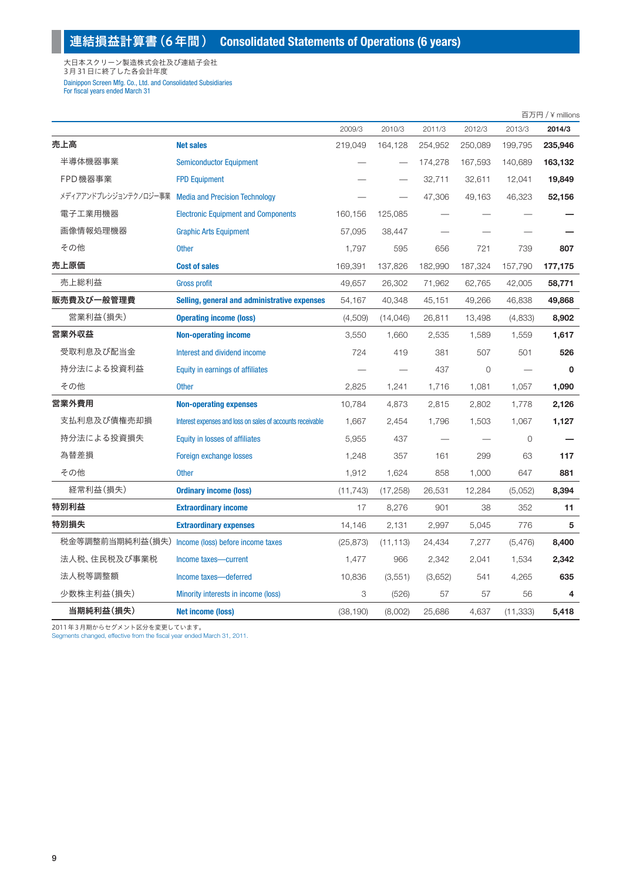大日本スクリーン製造株式会社及び連結子会社 3月31日に終了した各会計年度 Dainippon Screen Mfg. Co., Ltd. and Consolidated Subsidiaries For fiscal years ended March 31

|                                                      |                                                            |           |           |         |         |                | 百万円 / ¥ millions |
|------------------------------------------------------|------------------------------------------------------------|-----------|-----------|---------|---------|----------------|------------------|
|                                                      |                                                            | 2009/3    | 2010/3    | 2011/3  | 2012/3  | 2013/3         | 2014/3           |
| 売上高                                                  | <b>Net sales</b>                                           | 219,049   | 164,128   | 254,952 | 250,089 | 199,795        | 235,946          |
| 半導体機器事業                                              | <b>Semiconductor Equipment</b>                             |           |           | 174,278 | 167,593 | 140,689        | 163,132          |
| FPD 機器事業                                             | <b>FPD Equipment</b>                                       |           |           | 32,711  | 32,611  | 12,041         | 19,849           |
| メディアアンドプレシジョンテクノロジー事業 Media and Precision Technology |                                                            |           |           | 47,306  | 49,163  | 46,323         | 52,156           |
| 電子工業用機器                                              | <b>Electronic Equipment and Components</b>                 | 160,156   | 125,085   |         |         |                |                  |
| 画像情報処理機器                                             | <b>Graphic Arts Equipment</b>                              | 57,095    | 38,447    |         |         |                |                  |
| その他                                                  | <b>Other</b>                                               | 1,797     | 595       | 656     | 721     | 739            | 807              |
| 売上原価                                                 | <b>Cost of sales</b>                                       | 169,391   | 137,826   | 182,990 | 187,324 | 157,790        | 177,175          |
| 売上総利益                                                | <b>Gross profit</b>                                        | 49,657    | 26,302    | 71,962  | 62,765  | 42,005         | 58,771           |
| 販売費及び一般管理費                                           | Selling, general and administrative expenses               | 54,167    | 40,348    | 45,151  | 49,266  | 46,838         | 49,868           |
| 営業利益(損失)                                             | <b>Operating income (loss)</b>                             | (4,509)   | (14, 046) | 26,811  | 13,498  | (4,833)        | 8,902            |
| 営業外収益                                                | <b>Non-operating income</b>                                | 3,550     | 1,660     | 2,535   | 1,589   | 1,559          | 1,617            |
| 受取利息及び配当金                                            | Interest and dividend income                               | 724       | 419       | 381     | 507     | 501            | 526              |
| 持分法による投資利益                                           | Equity in earnings of affiliates                           |           |           | 437     | $\circ$ |                | $\mathbf 0$      |
| その他                                                  | <b>Other</b>                                               | 2,825     | 1,241     | 1,716   | 1,081   | 1,057          | 1,090            |
| 営業外費用                                                | <b>Non-operating expenses</b>                              | 10,784    | 4,873     | 2,815   | 2,802   | 1,778          | 2,126            |
| 支払利息及び債権売却損                                          | Interest expenses and loss on sales of accounts receivable | 1,667     | 2,454     | 1,796   | 1,503   | 1,067          | 1,127            |
| 持分法による投資損失                                           | Equity in losses of affiliates                             | 5,955     | 437       |         |         | $\overline{0}$ |                  |
| 為替差損                                                 | Foreign exchange losses                                    | 1,248     | 357       | 161     | 299     | 63             | 117              |
| その他                                                  | <b>Other</b>                                               | 1,912     | 1,624     | 858     | 1,000   | 647            | 881              |
| 経常利益(損失)                                             | <b>Ordinary income (loss)</b>                              | (11, 743) | (17, 258) | 26,531  | 12,284  | (5,052)        | 8,394            |
| 特別利益                                                 | <b>Extraordinary income</b>                                | 17        | 8,276     | 901     | 38      | 352            | 11               |
| 特別損失                                                 | <b>Extraordinary expenses</b>                              | 14,146    | 2,131     | 2,997   | 5,045   | 776            | 5                |
| 税金等調整前当期純利益(損失)                                      | Income (loss) before income taxes                          | (25, 873) | (11, 113) | 24,434  | 7,277   | (5, 476)       | 8,400            |
| 法人税、住民税及び事業税                                         | Income taxes-current                                       | 1,477     | 966       | 2,342   | 2,041   | 1,534          | 2,342            |
| 法人税等調整額                                              | Income taxes-deferred                                      | 10,836    | (3,551)   | (3,652) | 541     | 4,265          | 635              |
| 少数株主利益(損失)                                           | Minority interests in income (loss)                        | 3         | (526)     | 57      | 57      | 56             | 4                |
| 当期純利益(損失)                                            | <b>Net income (loss)</b>                                   | (38, 190) | (8,002)   | 25,686  | 4,637   | (11, 333)      | 5,418            |

2011年3月期からセグメント区分を変更しています。<br>Segments changed, effective from the fiscal year ended March 31, 2011.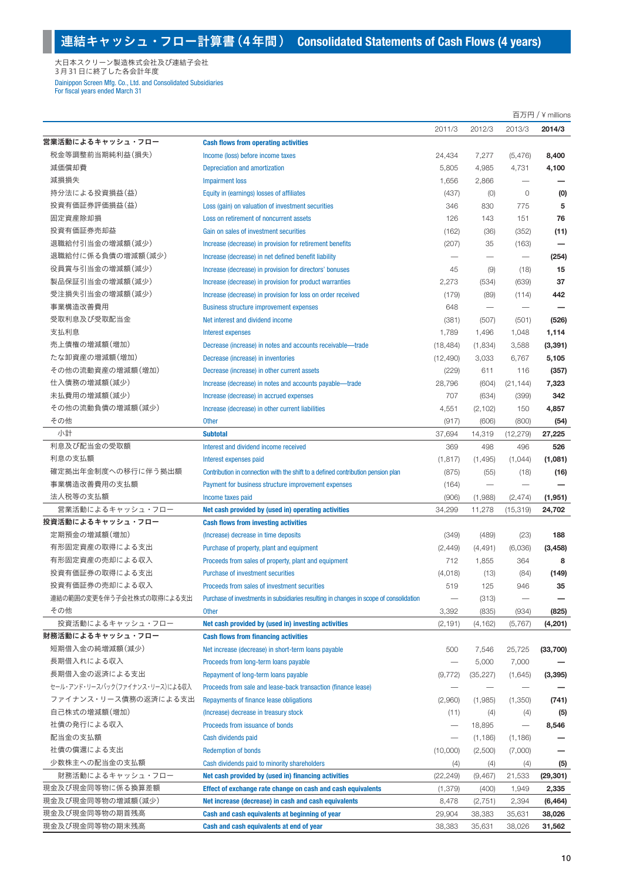大日本スクリーン製造株式会社及び連結子会社 3月31日に終了した各会計年度 Dainippon Screen Mfg. Co., Ltd. and Consolidated Subsidiaries For fiscal years ended March 31

|                                 |                                                                                        |                               |                          |                          | 百万円 / ¥ millions |
|---------------------------------|----------------------------------------------------------------------------------------|-------------------------------|--------------------------|--------------------------|------------------|
|                                 |                                                                                        | 2011/3                        | 2012/3                   | 2013/3                   | 2014/3           |
| 営業活動によるキャッシュ・フロー                | <b>Cash flows from operating activities</b>                                            |                               |                          |                          |                  |
| 税金等調整前当期純利益(損失)                 | Income (loss) before income taxes                                                      | 24,434                        | 7,277                    | (5,476)                  | 8,400            |
| 減価償却費                           | <b>Depreciation and amortization</b>                                                   | 5,805                         | 4,985                    | 4,731                    | 4,100            |
| 減損損失                            | <b>Impairment loss</b>                                                                 | 1,656                         | 2,866                    |                          |                  |
| 持分法による投資損益(益)                   | Equity in (earnings) losses of affiliates                                              | (437)                         | (0)                      | $\circ$                  | (0)              |
| 投資有価証券評価損益(益)                   | Loss (gain) on valuation of investment securities                                      | 346                           | 830                      | 775                      | 5                |
| 固定資産除却損                         | Loss on retirement of noncurrent assets                                                | 126                           | 143                      | 151                      | 76               |
| 投資有価証券売却益                       | Gain on sales of investment securities                                                 | (162)                         | (36)                     | (352)                    | (11)             |
| 退職給付引当金の増減額(減少)                 | Increase (decrease) in provision for retirement benefits                               | (207)                         | 35                       | (163)                    |                  |
| 退職給付に係る負債の増減額(減少)               | Increase (decrease) in net defined benefit liability                                   |                               |                          |                          | (254)            |
| 役員賞与引当金の増減額(減少)                 | Increase (decrease) in provision for directors' bonuses                                | 45                            | (9)                      | (18)                     | 15               |
| 製品保証引当金の増減額(減少)                 | Increase (decrease) in provision for product warranties                                | 2,273                         | (534)                    | (639)                    | 37               |
| 受注損失引当金の増減額(減少)                 | Increase (decrease) in provision for loss on order received                            | (179)                         | (89)                     | (114)                    | 442              |
| 事業構造改善費用                        | <b>Business structure improvement expenses</b>                                         | 648                           | $\qquad \qquad -$        |                          |                  |
| 受取利息及び受取配当金                     | Net interest and dividend income                                                       | (381)                         | (507)                    | (501)                    | (526)            |
| 支払利息                            | <b>Interest expenses</b>                                                               | 1,789                         | 1,496                    | 1,048                    | 1,114            |
| 売上債権の増減額(増加)                    | Decrease (increase) in notes and accounts receivable-trade                             | (18, 484)                     | (1,834)                  | 3,588                    | (3, 391)         |
| たな卸資産の増減額(増加)                   | Decrease (increase) in inventories                                                     | (12, 490)                     | 3,033                    | 6,767                    | 5,105            |
| その他の流動資産の増減額(増加)                | Decrease (increase) in other current assets                                            | (229)                         | 611                      | 116                      | (357)            |
| 仕入債務の増減額(減少)                    | Increase (decrease) in notes and accounts payable-trade                                | 28.796                        | (604)                    | (21, 144)                | 7,323            |
| 未払費用の増減額(減少)                    | Increase (decrease) in accrued expenses                                                | 707                           | (634)                    | (399)                    | 342              |
| その他の流動負債の増減額(減少)                | Increase (decrease) in other current liabilities                                       | 4,551                         | (2, 102)                 | 150                      | 4,857            |
| その他                             | <b>Other</b>                                                                           | (917)                         | (606)                    | (800)                    | (54)             |
| 小計                              | <b>Subtotal</b>                                                                        | 37,694                        | 14,319                   | (12, 279)                | 27,225           |
| 利息及び配当金の受取額                     | Interest and dividend income received                                                  | 369                           | 498                      | 496                      | 526              |
| 利息の支払額                          | Interest expenses paid                                                                 | (1, 817)                      | (1,495)                  | (1,044)                  | (1,081)          |
| 確定拠出年金制度への移行に伴う拠出額              | Contribution in connection with the shift to a defined contribution pension plan       | (875)                         | (55)                     | (18)                     | (16)             |
| 事業構造改善費用の支払額                    | Payment for business structure improvement expenses                                    | (164)                         | $\overline{\phantom{0}}$ | $\overline{\phantom{0}}$ |                  |
| 法人税等の支払額                        | Income taxes paid                                                                      | (906)                         | (1,988)                  | (2, 474)                 | (1,951)          |
| 営業活動によるキャッシュ・フロー                | Net cash provided by (used in) operating activities                                    | 34,299                        | 11,278                   | (15, 319)                | 24,702           |
| 投資活動によるキャッシュ・フロー                | <b>Cash flows from investing activities</b>                                            |                               |                          |                          |                  |
| 定期預金の増減額(増加)                    | (Increase) decrease in time deposits                                                   | (349)                         | (489)                    | (23)                     | 188              |
| 有形固定資産の取得による支出                  | Purchase of property, plant and equipment                                              | (2, 449)                      | (4, 491)                 | (6,036)                  | (3, 458)         |
| 有形固定資産の売却による収入                  | Proceeds from sales of property, plant and equipment                                   | 712                           | 1,855                    | 364                      | 8                |
| 投資有価証券の取得による支出                  | Purchase of investment securities                                                      | (4,018)                       | (13)                     | (84)                     | (149)            |
| 投資有価証券の売却による収入                  | Proceeds from sales of investment securities                                           | 519                           | 125                      | 946                      | 35               |
| 連結の範囲の変更を伴う子会社株式の取得による支出        | Purchase of investments in subsidiaries resulting in changes in scope of consolidation |                               | (313)                    |                          |                  |
| その他                             | <b>Other</b>                                                                           | 3,392                         | (835)                    | (934)                    | (825)            |
| 投資活動によるキャッシュ・フロー                | Net cash provided by (used in) investing activities                                    | (2, 191)                      | (4, 162)                 | (5,767)                  | (4,201)          |
| 財務活動によるキャッシュ・フロー                | <b>Cash flows from financing activities</b>                                            |                               |                          |                          |                  |
| 短期借入金の純増減額(減少)                  | Net increase (decrease) in short-term loans payable                                    | 500                           | 7,546                    | 25,725                   | (33,700)         |
| 長期借入れによる収入                      | Proceeds from long-term loans payable                                                  |                               | 5,000                    | 7,000                    |                  |
| 長期借入金の返済による支出                   | Repayment of long-term loans payable                                                   | (9, 772)                      | (35, 227)                | (1,645)                  | (3, 395)         |
| セール・アンド・リースバック(ファイナンス・リース)による収入 | Proceeds from sale and lease-back transaction (finance lease)                          |                               |                          |                          |                  |
| ファイナンス・リース債務の返済による支出            | Repayments of finance lease obligations                                                | (2,960)                       | (1,985)                  | (1,350)                  | (741)            |
| 自己株式の増減額(増加)                    | (Increase) decrease in treasury stock                                                  | (11)                          | (4)                      | (4)                      | (5)              |
| 社債の発行による収入                      | Proceeds from issuance of bonds                                                        | $\overbrace{\phantom{12333}}$ | 18,895                   | $\overline{\phantom{0}}$ | 8,546            |
| 配当金の支払額                         | Cash dividends paid                                                                    |                               | (1, 186)                 | (1, 186)                 |                  |
| 社債の償還による支出                      | <b>Redemption of bonds</b>                                                             | (10,000)                      | (2,500)                  | (7,000)                  |                  |
| 少数株主への配当金の支払額                   | Cash dividends paid to minority shareholders                                           | (4)                           | (4)                      | (4)                      | (5)              |
| 財務活動によるキャッシュ・フロー                | Net cash provided by (used in) financing activities                                    | (22, 249)                     | (9, 467)                 | 21,533                   | (29, 301)        |
| 現金及び現金同等物に係る換算差額                | Effect of exchange rate change on cash and cash equivalents                            | (1, 379)                      | (400)                    | 1,949                    | 2,335            |
| 現金及び現金同等物の増減額(減少)               | Net increase (decrease) in cash and cash equivalents                                   | 8,478                         | (2,751)                  | 2,394                    | (6, 464)         |
| 現金及び現金同等物の期首残高                  | Cash and cash equivalents at beginning of year                                         | 29,904                        | 38,383                   | 35,631                   | 38,026           |
| 現金及び現金同等物の期末残高                  | Cash and cash equivalents at end of year                                               | 38,383                        | 35,631                   | 38,026                   | 31,562           |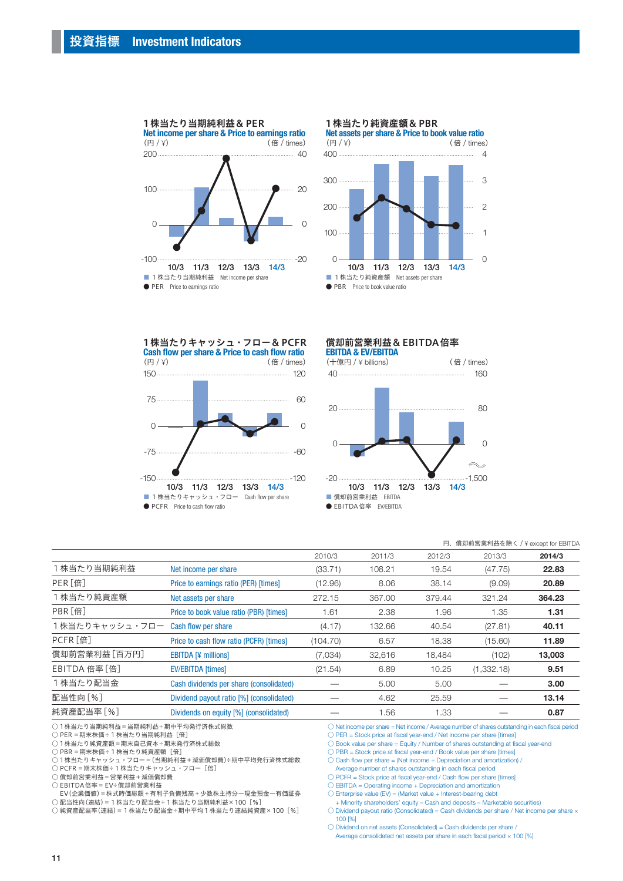



1株当たり純資産額&PBR

1株当たりキャッシュ・フロー&PCFR **Cash flow per share & Price to cash flow ratio**<br>(円/¥) (倍/times) (倍 / times)



#### 償却前営業利益&EBITDA倍率



## 円、償却前営業利益を除く / ¥ except for EBITDA 2010/3 2011/3 2012/3 2013/3 **2014/3** 1株当たり当期純利益 Net income per share (33.71) 108.21 19.54 (47.75) **22.83** PER[倍] Price to earnings ratio (PER) [times] (12.96) 8.06 38.14 (9.09) **20.89** 1株当たり純資産額 Net assets per share 272.15 367.00 379.44 321.24 **364.23** PBR [倍] **Price to book value ratio (PBR) [times]** 1.61 2.38 1.96 1.35 1.31 1株当たりキャッシュ・フロー Cash flow per share  $(4.17)$  132.66  $40.54$   $(27.81)$  **40.11** PCFR [倍] **Price to cash flow ratio (PCFR) [times]** (104.70) 6.57 18.38 (15.60) **11.89** 償却前営業利益[百万円] EBITDA [¥ millions] (7,034) 32,616 18,484 (102) **13,003**  EBITDA 倍率[倍] EV/EBITDA [times] (21.54) 6.89 10.25 (1,332.18) **9.51** 1株当たり配当金 Cash dividends per share (consolidated) — 5.00 5.00 — **3.00**  配当性向 [%] **Dividend payout ratio [%] (consolidated)** - 4.62 25.59 - 13.14 純資産配当率 [%] **Dividends on equity [%] (consolidated)** — 1.56 1.33 — **0.87**

○ 1株当たり当期純利益=当期純利益÷期中平均発行済株式総数

○ PER=期末株価÷1株当たり当期純利益[倍]

○ 1株当たり純資産額=期末自己資本÷期末発行済株式総数

○ PBR=期末株価÷1株当たり純資産額[倍]

-<br>○ 1 株当たりキャッシュ・フロー= (当期純利益 + 減価償却費)÷期中平均発行済株式総数

○ PCFR=期末株価÷1株当たりキャッシュ・フロー[倍]

○ 償却前営業利益=営業利益+減価償却費

○ EBITDA倍率=EV÷償却前営業利益

 EV(企業価値)=株式時価総額+有利子負債残高+少数株主持分ー現金預金ー有価証券 ○ 配当性向(連結)=1株当たり配当金÷1株当たり当期純利益× 100[%]

○ 純資産配当率(連結)=1株当たり配当金÷期中平均1株当たり連結純資産× 100[%]

 $\bigcirc$  Net income per share = Net income / Average number of shares outstanding in each fiscal period

 $\bigcap$  PER = Stock price at fiscal year-end / Net income per share [times]

○ Book value per share = Equity / Number of shares outstanding at fiscal year-end

 $\bigcirc$  PBR = Stock price at fiscal year-end / Book value per share [times]  $\bigcirc$  Cash flow per share = (Net income + Depreciation and amortization

Cash flow per share = (Net income + Depreciation and amortization) /

Average number of shares outstanding in each fiscal period

 $\bigcirc$  PCFR = Stock price at fiscal year-end / Cash flow per share [times]  $\bigcirc$  EBITDA = Operating income + Depreciation and amortization

○ Enterprise value (EV) = (Market value + Interest-bearing debt

+ Minority shareholders' equity – Cash and deposits – Marketable securities)

○ Dividend payout ratio (Consolidated) = Cash dividends per share / Net income per share × 100 [%]

 $\bigcirc$  Dividend on net assets (Consolidated) = Cash dividends per share / Average consolidated net assets per share in each fiscal period  $\times$  100 [%]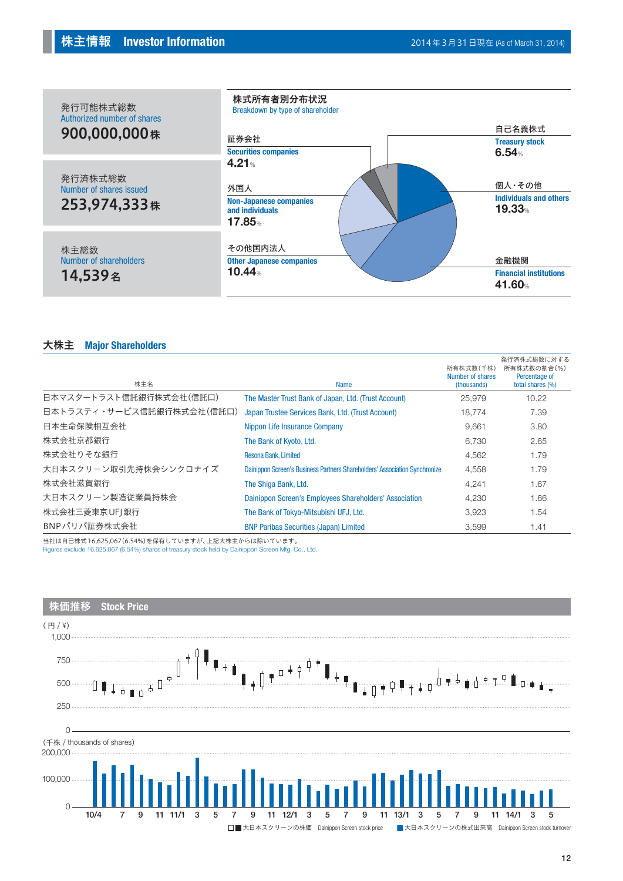

#### 大株主 **Major Shareholders**

| 株主名                       | <b>Name</b>                                                                | 所有株式数(千株)<br>Number of shares<br>(thousands) | 発行済株式総数に対する<br>所有株式数の割合(%)<br>Percentage of<br>total shares (%) |
|---------------------------|----------------------------------------------------------------------------|----------------------------------------------|-----------------------------------------------------------------|
| 日本マスタートラスト信託銀行株式会社(信託口)   | The Master Trust Bank of Japan, Ltd. (Trust Account)                       | 25,979                                       | 10.22                                                           |
| 日本トラスティ・サービス信託銀行株式会社(信託口) | Japan Trustee Services Bank, Ltd. (Trust Account)                          | 18.774                                       | 7.39                                                            |
| 日本生命保険相互会社                | Nippon Life Insurance Company                                              | 9,661                                        | 3.80                                                            |
| 株式会社京都銀行                  | The Bank of Kyoto, Ltd.                                                    | 6.730                                        | 2.65                                                            |
| 株式会社りそな銀行                 | Resona Bank, Limited                                                       | 4,562                                        | 1.79                                                            |
| 大日本スクリーン取引先持株会シンクロナイズ     | Dainippon Screen's Business Partners Shareholders' Association Synchronize | 4,558                                        | 1.79                                                            |
| 株式会社滋賀銀行                  | The Shiga Bank, Ltd.                                                       | 4.241                                        | 1.67                                                            |
| 大日本スクリーン製造従業員持株会          | Dainippon Screen's Employees Shareholders' Association                     | 4,230                                        | 1.66                                                            |
| 株式会社三菱東京 UFI 銀行           | The Bank of Tokyo-Mitsubishi UFJ, Ltd.                                     | 3,923                                        | 1.54                                                            |
| BNPパリバ証券株式会社              | <b>BNP Paribas Securities (Japan) Limited</b>                              | 3,599                                        | 1.41                                                            |

当社は自己株式16,625,067(6.54%)を保有していますが、上記大株主からは除いています。

Figures exclude 16,625,067 (6.54%) shares of treasury stock held by Dainippon Screen Mfg. Co., Ltd.

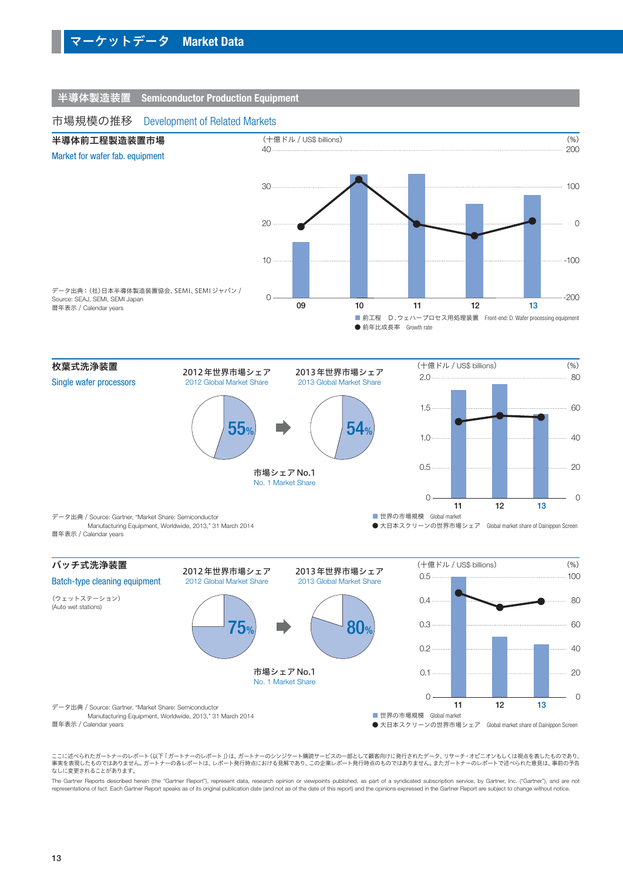#### 半導体製造装置 **Semiconductor Production Equipment**

#### 市場規模の推移 Development of Related Markets





ここに述べられたガートナーのレポート(以下「ガートナーのレポート」)は、ガートナーのシンジケート購読サービスの一部として顧客向けに発行されたデータ、リサーチ・オピニオンもしくは視点を表したものであり、<br>事実を表現したものではありません。ガートナーの各レポートは、レポート発行時点における見解であり、この企業レポート発行時点のものではありません。またガートナーのレポートで述べられた意見は、事前の予告 なしに変更されることがあります。

The Gartner Reports described herein (the "Gartner Report"), represent data, research opinion or viewpoints published, as part of a syndicated subscription service, by Gartner, Inc. ("Gartner"), and are not representations of fact. Each Gartner Report speaks as of its original publication date (and not as of the date of this report) and the opinions expressed in the Gartner Report are subject to change without notice.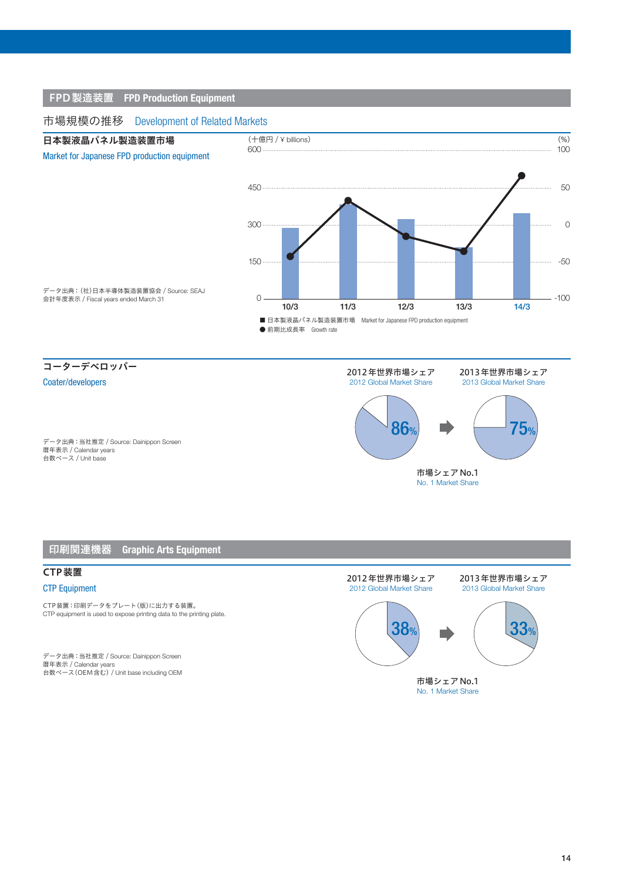#### FPD製造装置 **FPD Production Equipment**

#### 市場規模の推移 Development of Related Markets



市場シェアNo.1 No. 1 Market Share

#### 印刷関連機器 **Graphic Arts Equipment**

#### CTP装置

#### CTP Equipment

CTP装置:印刷データをプレート(版)に出力する装置。 CTP equipment is used to expose printing data to the printing plate.

データ出典:当社推定 / Source: Dainippon Screen **暦年表示 / Calendar years** 台数ベース(OEM含む) / Unit base including OEM



市場シェアNo.1 No. 1 Market Share